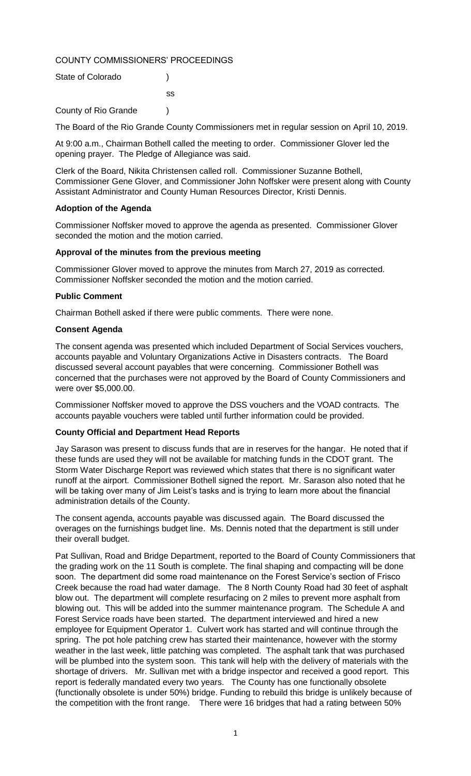# COUNTY COMMISSIONERS' PROCEEDINGS

| State of Colorado    |     |
|----------------------|-----|
|                      | SS. |
| County of Rio Grande |     |

The Board of the Rio Grande County Commissioners met in regular session on April 10, 2019.

At 9:00 a.m., Chairman Bothell called the meeting to order. Commissioner Glover led the opening prayer. The Pledge of Allegiance was said.

Clerk of the Board, Nikita Christensen called roll. Commissioner Suzanne Bothell, Commissioner Gene Glover, and Commissioner John Noffsker were present along with County Assistant Administrator and County Human Resources Director, Kristi Dennis.

### **Adoption of the Agenda**

Commissioner Noffsker moved to approve the agenda as presented. Commissioner Glover seconded the motion and the motion carried.

### **Approval of the minutes from the previous meeting**

Commissioner Glover moved to approve the minutes from March 27, 2019 as corrected. Commissioner Noffsker seconded the motion and the motion carried.

### **Public Comment**

Chairman Bothell asked if there were public comments. There were none.

### **Consent Agenda**

The consent agenda was presented which included Department of Social Services vouchers, accounts payable and Voluntary Organizations Active in Disasters contracts. The Board discussed several account payables that were concerning. Commissioner Bothell was concerned that the purchases were not approved by the Board of County Commissioners and were over \$5,000.00.

Commissioner Noffsker moved to approve the DSS vouchers and the VOAD contracts. The accounts payable vouchers were tabled until further information could be provided.

## **County Official and Department Head Reports**

Jay Sarason was present to discuss funds that are in reserves for the hangar. He noted that if these funds are used they will not be available for matching funds in the CDOT grant. The Storm Water Discharge Report was reviewed which states that there is no significant water runoff at the airport. Commissioner Bothell signed the report. Mr. Sarason also noted that he will be taking over many of Jim Leist's tasks and is trying to learn more about the financial administration details of the County.

The consent agenda, accounts payable was discussed again. The Board discussed the overages on the furnishings budget line. Ms. Dennis noted that the department is still under their overall budget.

Pat Sullivan, Road and Bridge Department, reported to the Board of County Commissioners that the grading work on the 11 South is complete. The final shaping and compacting will be done soon. The department did some road maintenance on the Forest Service's section of Frisco Creek because the road had water damage. The 8 North County Road had 30 feet of asphalt blow out. The department will complete resurfacing on 2 miles to prevent more asphalt from blowing out. This will be added into the summer maintenance program. The Schedule A and Forest Service roads have been started. The department interviewed and hired a new employee for Equipment Operator 1. Culvert work has started and will continue through the spring. The pot hole patching crew has started their maintenance, however with the stormy weather in the last week, little patching was completed. The asphalt tank that was purchased will be plumbed into the system soon. This tank will help with the delivery of materials with the shortage of drivers. Mr. Sullivan met with a bridge inspector and received a good report. This report is federally mandated every two years. The County has one functionally obsolete (functionally obsolete is under 50%) bridge. Funding to rebuild this bridge is unlikely because of the competition with the front range. There were 16 bridges that had a rating between 50%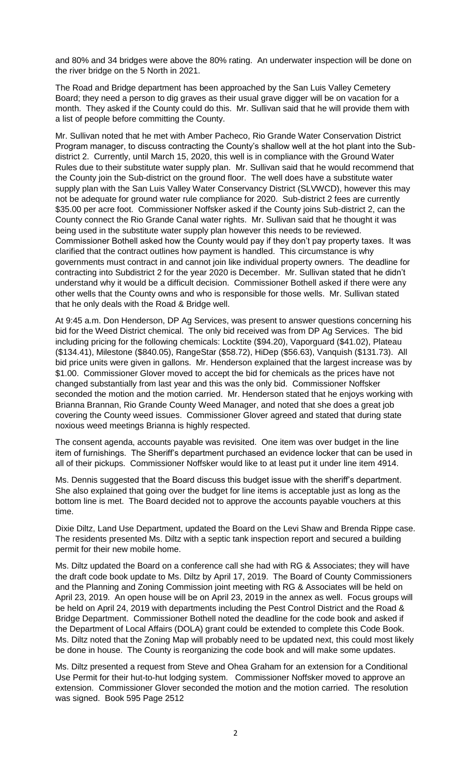and 80% and 34 bridges were above the 80% rating. An underwater inspection will be done on the river bridge on the 5 North in 2021.

The Road and Bridge department has been approached by the San Luis Valley Cemetery Board; they need a person to dig graves as their usual grave digger will be on vacation for a month. They asked if the County could do this. Mr. Sullivan said that he will provide them with a list of people before committing the County.

Mr. Sullivan noted that he met with Amber Pacheco, Rio Grande Water Conservation District Program manager, to discuss contracting the County's shallow well at the hot plant into the Subdistrict 2. Currently, until March 15, 2020, this well is in compliance with the Ground Water Rules due to their substitute water supply plan. Mr. Sullivan said that he would recommend that the County join the Sub-district on the ground floor. The well does have a substitute water supply plan with the San Luis Valley Water Conservancy District (SLVWCD), however this may not be adequate for ground water rule compliance for 2020. Sub-district 2 fees are currently \$35.00 per acre foot. Commissioner Noffsker asked if the County joins Sub-district 2, can the County connect the Rio Grande Canal water rights. Mr. Sullivan said that he thought it was being used in the substitute water supply plan however this needs to be reviewed. Commissioner Bothell asked how the County would pay if they don't pay property taxes. It was clarified that the contract outlines how payment is handled. This circumstance is why governments must contract in and cannot join like individual property owners. The deadline for contracting into Subdistrict 2 for the year 2020 is December. Mr. Sullivan stated that he didn't understand why it would be a difficult decision. Commissioner Bothell asked if there were any other wells that the County owns and who is responsible for those wells. Mr. Sullivan stated that he only deals with the Road & Bridge well.

At 9:45 a.m. Don Henderson, DP Ag Services, was present to answer questions concerning his bid for the Weed District chemical. The only bid received was from DP Ag Services. The bid including pricing for the following chemicals: Locktite (\$94.20), Vaporguard (\$41.02), Plateau (\$134.41), Milestone (\$840.05), RangeStar (\$58.72), HiDep (\$56.63), Vanquish (\$131.73). All bid price units were given in gallons. Mr. Henderson explained that the largest increase was by \$1.00. Commissioner Glover moved to accept the bid for chemicals as the prices have not changed substantially from last year and this was the only bid. Commissioner Noffsker seconded the motion and the motion carried. Mr. Henderson stated that he enjoys working with Brianna Brannan, Rio Grande County Weed Manager, and noted that she does a great job covering the County weed issues. Commissioner Glover agreed and stated that during state noxious weed meetings Brianna is highly respected.

The consent agenda, accounts payable was revisited. One item was over budget in the line item of furnishings. The Sheriff's department purchased an evidence locker that can be used in all of their pickups. Commissioner Noffsker would like to at least put it under line item 4914.

Ms. Dennis suggested that the Board discuss this budget issue with the sheriff's department. She also explained that going over the budget for line items is acceptable just as long as the bottom line is met. The Board decided not to approve the accounts payable vouchers at this time.

Dixie Diltz, Land Use Department, updated the Board on the Levi Shaw and Brenda Rippe case. The residents presented Ms. Diltz with a septic tank inspection report and secured a building permit for their new mobile home.

Ms. Diltz updated the Board on a conference call she had with RG & Associates; they will have the draft code book update to Ms. Diltz by April 17, 2019. The Board of County Commissioners and the Planning and Zoning Commission joint meeting with RG & Associates will be held on April 23, 2019. An open house will be on April 23, 2019 in the annex as well. Focus groups will be held on April 24, 2019 with departments including the Pest Control District and the Road & Bridge Department. Commissioner Bothell noted the deadline for the code book and asked if the Department of Local Affairs (DOLA) grant could be extended to complete this Code Book. Ms. Diltz noted that the Zoning Map will probably need to be updated next, this could most likely be done in house. The County is reorganizing the code book and will make some updates.

Ms. Diltz presented a request from Steve and Ohea Graham for an extension for a Conditional Use Permit for their hut-to-hut lodging system. Commissioner Noffsker moved to approve an extension. Commissioner Glover seconded the motion and the motion carried. The resolution was signed. Book 595 Page 2512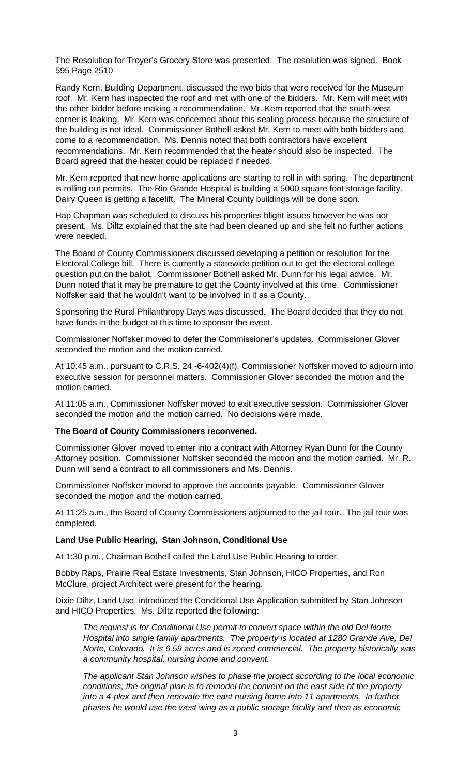The Resolution for Troyer's Grocery Store was presented. The resolution was signed. Book 595 Page 2510

Randy Kern, Building Department, discussed the two bids that were received for the Museum roof. Mr. Kern has inspected the roof and met with one of the bidders. Mr. Kern will meet with the other bidder before making a recommendation. Mr. Kern reported that the south-west corner is leaking. Mr. Kern was concerned about this sealing process because the structure of the building is not ideal. Commissioner Bothell asked Mr. Kern to meet with both bidders and come to a recommendation. Ms. Dennis noted that both contractors have excellent recommendations. Mr. Kern recommended that the heater should also be inspected. The Board agreed that the heater could be replaced if needed.

Mr. Kern reported that new home applications are starting to roll in with spring. The department is rolling out permits. The Rio Grande Hospital is building a 5000 square foot storage facility. Dairy Queen is getting a facelift. The Mineral County buildings will be done soon.

Hap Chapman was scheduled to discuss his properties blight issues however he was not present. Ms. Diltz explained that the site had been cleaned up and she felt no further actions were needed.

The Board of County Commissioners discussed developing a petition or resolution for the Electoral College bill. There is currently a statewide petition out to get the electoral college question put on the ballot. Commissioner Bothell asked Mr. Dunn for his legal advice. Mr. Dunn noted that it may be premature to get the County involved at this time. Commissioner Noffsker said that he wouldn't want to be involved in it as a County.

Sponsoring the Rural Philanthropy Days was discussed. The Board decided that they do not have funds in the budget at this time to sponsor the event.

Commissioner Noffsker moved to defer the Commissioner's updates. Commissioner Glover seconded the motion and the motion carried.

At 10:45 a.m., pursuant to C.R.S. 24 -6-402(4)(f), Commissioner Noffsker moved to adjourn into executive session for personnel matters. Commissioner Glover seconded the motion and the motion carried.

At 11:05 a.m., Commissioner Noffsker moved to exit executive session. Commissioner Glover seconded the motion and the motion carried. No decisions were made.

### **The Board of County Commissioners reconvened.**

Commissioner Glover moved to enter into a contract with Attorney Ryan Dunn for the County Attorney position. Commissioner Noffsker seconded the motion and the motion carried. Mr. R. Dunn will send a contract to all commissioners and Ms. Dennis.

Commissioner Noffsker moved to approve the accounts payable. Commissioner Glover seconded the motion and the motion carried.

At 11:25 a.m., the Board of County Commissioners adjourned to the jail tour. The jail tour was completed.

### **Land Use Public Hearing, Stan Johnson, Conditional Use**

At 1:30 p.m., Chairman Bothell called the Land Use Public Hearing to order.

Bobby Raps, Prairie Real Estate Investments, Stan Johnson, HICO Properties, and Ron McClure, project Architect were present for the hearing.

Dixie Diltz, Land Use, introduced the Conditional Use Application submitted by Stan Johnson and HICO Properties. Ms. Diltz reported the following:

*The request is for Conditional Use permit to convert space within the old Del Norte Hospital into single family apartments. The property is located at 1280 Grande Ave, Del Norte, Colorado. It is 6.59 acres and is zoned commercial. The property historically was a community hospital, nursing home and convent.* 

*The applicant Stan Johnson wishes to phase the project according to the local economic conditions; the original plan is to remodel the convent on the east side of the property into a 4-plex and then renovate the east nursing home into 11 apartments. In further phases he would use the west wing as a public storage facility and then as economic*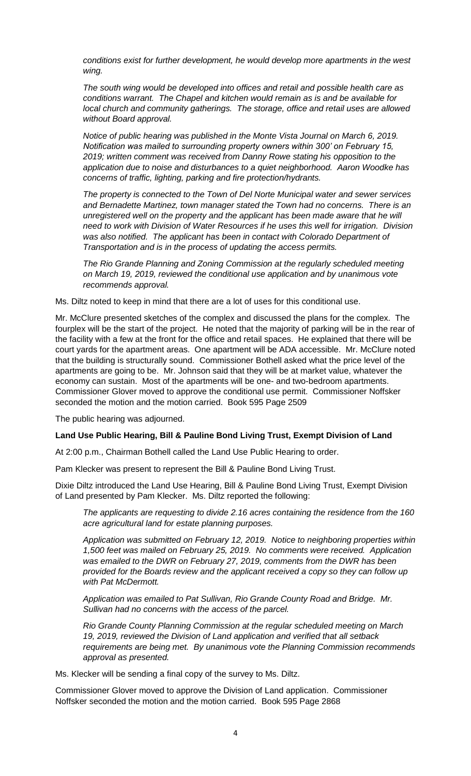*conditions exist for further development, he would develop more apartments in the west wing.* 

*The south wing would be developed into offices and retail and possible health care as conditions warrant. The Chapel and kitchen would remain as is and be available for local church and community gatherings. The storage, office and retail uses are allowed without Board approval.* 

*Notice of public hearing was published in the Monte Vista Journal on March 6, 2019. Notification was mailed to surrounding property owners within 300' on February 15, 2019; written comment was received from Danny Rowe stating his opposition to the application due to noise and disturbances to a quiet neighborhood. Aaron Woodke has concerns of traffic, lighting, parking and fire protection/hydrants.* 

*The property is connected to the Town of Del Norte Municipal water and sewer services and Bernadette Martinez, town manager stated the Town had no concerns. There is an unregistered well on the property and the applicant has been made aware that he will need to work with Division of Water Resources if he uses this well for irrigation. Division was also notified. The applicant has been in contact with Colorado Department of Transportation and is in the process of updating the access permits.* 

*The Rio Grande Planning and Zoning Commission at the regularly scheduled meeting on March 19, 2019, reviewed the conditional use application and by unanimous vote recommends approval.* 

Ms. Diltz noted to keep in mind that there are a lot of uses for this conditional use.

Mr. McClure presented sketches of the complex and discussed the plans for the complex. The fourplex will be the start of the project. He noted that the majority of parking will be in the rear of the facility with a few at the front for the office and retail spaces. He explained that there will be court yards for the apartment areas. One apartment will be ADA accessible. Mr. McClure noted that the building is structurally sound. Commissioner Bothell asked what the price level of the apartments are going to be. Mr. Johnson said that they will be at market value, whatever the economy can sustain. Most of the apartments will be one- and two-bedroom apartments. Commissioner Glover moved to approve the conditional use permit. Commissioner Noffsker seconded the motion and the motion carried. Book 595 Page 2509

The public hearing was adjourned.

### **Land Use Public Hearing, Bill & Pauline Bond Living Trust, Exempt Division of Land**

At 2:00 p.m., Chairman Bothell called the Land Use Public Hearing to order.

Pam Klecker was present to represent the Bill & Pauline Bond Living Trust.

Dixie Diltz introduced the Land Use Hearing, Bill & Pauline Bond Living Trust, Exempt Division of Land presented by Pam Klecker. Ms. Diltz reported the following:

*The applicants are requesting to divide 2.16 acres containing the residence from the 160 acre agricultural land for estate planning purposes.* 

*Application was submitted on February 12, 2019. Notice to neighboring properties within 1,500 feet was mailed on February 25, 2019. No comments were received. Application was emailed to the DWR on February 27, 2019, comments from the DWR has been provided for the Boards review and the applicant received a copy so they can follow up with Pat McDermott.* 

*Application was emailed to Pat Sullivan, Rio Grande County Road and Bridge. Mr. Sullivan had no concerns with the access of the parcel.* 

*Rio Grande County Planning Commission at the regular scheduled meeting on March 19, 2019, reviewed the Division of Land application and verified that all setback requirements are being met. By unanimous vote the Planning Commission recommends approval as presented.* 

Ms. Klecker will be sending a final copy of the survey to Ms. Diltz.

Commissioner Glover moved to approve the Division of Land application. Commissioner Noffsker seconded the motion and the motion carried. Book 595 Page 2868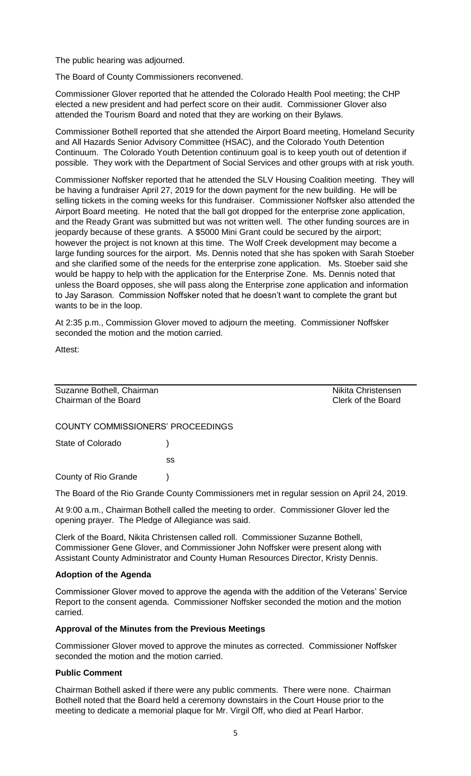The public hearing was adjourned.

The Board of County Commissioners reconvened.

Commissioner Glover reported that he attended the Colorado Health Pool meeting; the CHP elected a new president and had perfect score on their audit. Commissioner Glover also attended the Tourism Board and noted that they are working on their Bylaws.

Commissioner Bothell reported that she attended the Airport Board meeting, Homeland Security and All Hazards Senior Advisory Committee (HSAC), and the Colorado Youth Detention Continuum. The Colorado Youth Detention continuum goal is to keep youth out of detention if possible. They work with the Department of Social Services and other groups with at risk youth.

Commissioner Noffsker reported that he attended the SLV Housing Coalition meeting. They will be having a fundraiser April 27, 2019 for the down payment for the new building. He will be selling tickets in the coming weeks for this fundraiser. Commissioner Noffsker also attended the Airport Board meeting. He noted that the ball got dropped for the enterprise zone application, and the Ready Grant was submitted but was not written well. The other funding sources are in jeopardy because of these grants. A \$5000 Mini Grant could be secured by the airport; however the project is not known at this time. The Wolf Creek development may become a large funding sources for the airport. Ms. Dennis noted that she has spoken with Sarah Stoeber and she clarified some of the needs for the enterprise zone application. Ms. Stoeber said she would be happy to help with the application for the Enterprise Zone. Ms. Dennis noted that unless the Board opposes, she will pass along the Enterprise zone application and information to Jay Sarason. Commission Noffsker noted that he doesn't want to complete the grant but wants to be in the loop.

At 2:35 p.m., Commission Glover moved to adjourn the meeting. Commissioner Noffsker seconded the motion and the motion carried.

Attest:

Suzanne Bothell, Chairman Nikita Christensen Chairman of the Board Clerk of the Board

COUNTY COMMISSIONERS' PROCEEDINGS

State of Colorado (a)

ss

County of Rio Grande )

The Board of the Rio Grande County Commissioners met in regular session on April 24, 2019.

At 9:00 a.m., Chairman Bothell called the meeting to order. Commissioner Glover led the opening prayer. The Pledge of Allegiance was said.

Clerk of the Board, Nikita Christensen called roll. Commissioner Suzanne Bothell, Commissioner Gene Glover, and Commissioner John Noffsker were present along with Assistant County Administrator and County Human Resources Director, Kristy Dennis.

### **Adoption of the Agenda**

Commissioner Glover moved to approve the agenda with the addition of the Veterans' Service Report to the consent agenda. Commissioner Noffsker seconded the motion and the motion carried.

### **Approval of the Minutes from the Previous Meetings**

Commissioner Glover moved to approve the minutes as corrected. Commissioner Noffsker seconded the motion and the motion carried.

### **Public Comment**

Chairman Bothell asked if there were any public comments. There were none. Chairman Bothell noted that the Board held a ceremony downstairs in the Court House prior to the meeting to dedicate a memorial plaque for Mr. Virgil Off, who died at Pearl Harbor.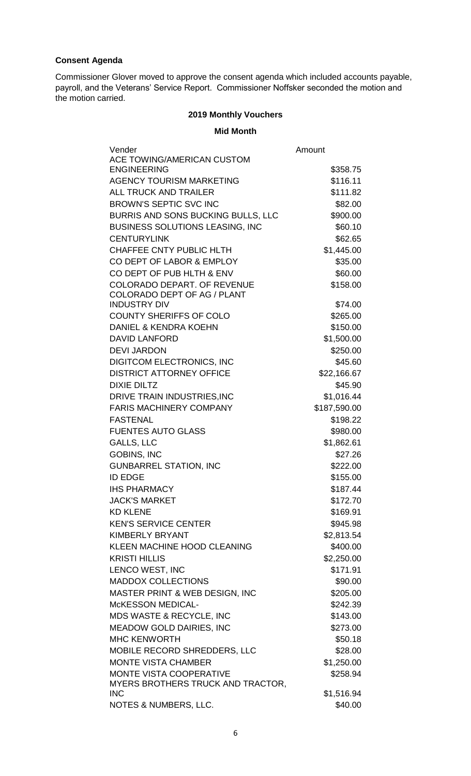# **Consent Agenda**

Commissioner Glover moved to approve the consent agenda which included accounts payable, payroll, and the Veterans' Service Report. Commissioner Noffsker seconded the motion and the motion carried.

# **2019 Monthly Vouchers**

**Mid Month**

| Vender                                 | Amount       |
|----------------------------------------|--------------|
| ACE TOWING/AMERICAN CUSTOM             |              |
| <b>ENGINEERING</b>                     | \$358.75     |
| <b>AGENCY TOURISM MARKETING</b>        | \$116.11     |
| <b>ALL TRUCK AND TRAILER</b>           | \$111.82     |
| <b>BROWN'S SEPTIC SVC INC</b>          | \$82.00      |
| BURRIS AND SONS BUCKING BULLS, LLC     | \$900.00     |
| <b>BUSINESS SOLUTIONS LEASING, INC</b> | \$60.10      |
| <b>CENTURYLINK</b>                     | \$62.65      |
| CHAFFEE CNTY PUBLIC HLTH               | \$1,445.00   |
| CO DEPT OF LABOR & EMPLOY              | \$35.00      |
| CO DEPT OF PUB HLTH & ENV              | \$60.00      |
| <b>COLORADO DEPART. OF REVENUE</b>     | \$158.00     |
| COLORADO DEPT OF AG / PLANT            |              |
| <b>INDUSTRY DIV</b>                    | \$74.00      |
| <b>COUNTY SHERIFFS OF COLO</b>         | \$265.00     |
| DANIEL & KENDRA KOEHN                  | \$150.00     |
| <b>DAVID LANFORD</b>                   | \$1,500.00   |
| <b>DEVI JARDON</b>                     | \$250.00     |
| <b>DIGITCOM ELECTRONICS, INC</b>       | \$45.60      |
| <b>DISTRICT ATTORNEY OFFICE</b>        | \$22,166.67  |
| <b>DIXIE DILTZ</b>                     | \$45.90      |
| DRIVE TRAIN INDUSTRIES, INC            | \$1,016.44   |
| <b>FARIS MACHINERY COMPANY</b>         | \$187,590.00 |
| <b>FASTENAL</b>                        | \$198.22     |
| <b>FUENTES AUTO GLASS</b>              | \$980.00     |
| <b>GALLS, LLC</b>                      | \$1,862.61   |
| <b>GOBINS, INC</b>                     | \$27.26      |
| <b>GUNBARREL STATION, INC</b>          | \$222.00     |
| <b>ID EDGE</b>                         | \$155.00     |
| <b>IHS PHARMACY</b>                    | \$187.44     |
| <b>JACK'S MARKET</b>                   | \$172.70     |
| <b>KD KLENE</b>                        | \$169.91     |
| <b>KEN'S SERVICE CENTER</b>            | \$945.98     |
| <b>KIMBERLY BRYANT</b>                 | \$2,813.54   |
| KLEEN MACHINE HOOD CLEANING            | \$400.00     |
| <b>KRISTI HILLIS</b>                   | \$2,250.00   |
| LENCO WEST, INC                        | \$171.91     |
| <b>MADDOX COLLECTIONS</b>              | \$90.00      |
| MASTER PRINT & WEB DESIGN, INC         | \$205.00     |
| McKESSON MEDICAL-                      | \$242.39     |
| MDS WASTE & RECYCLE, INC               | \$143.00     |
| <b>MEADOW GOLD DAIRIES, INC</b>        | \$273.00     |
| <b>MHC KENWORTH</b>                    | \$50.18      |
| MOBILE RECORD SHREDDERS, LLC           | \$28.00      |
| <b>MONTE VISTA CHAMBER</b>             | \$1,250.00   |
| <b>MONTE VISTA COOPERATIVE</b>         | \$258.94     |
| MYERS BROTHERS TRUCK AND TRACTOR,      |              |
| <b>INC</b>                             | \$1,516.94   |
| NOTES & NUMBERS, LLC.                  | \$40.00      |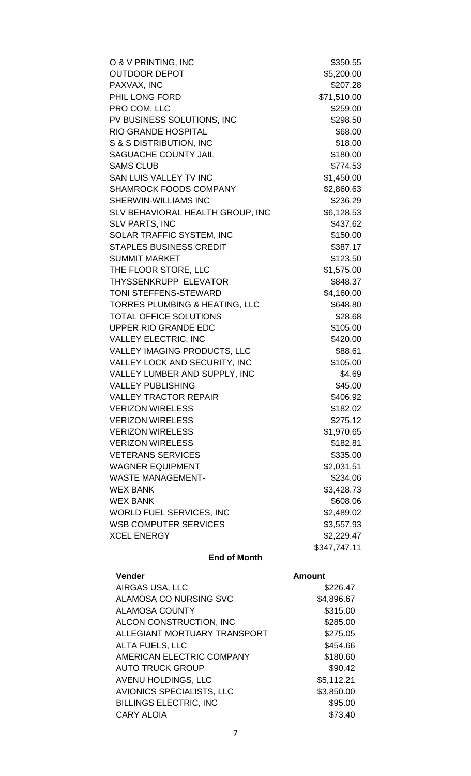| O & V PRINTING, INC                | \$350.55     |
|------------------------------------|--------------|
| <b>OUTDOOR DEPOT</b>               | \$5,200.00   |
| PAXVAX, INC                        | \$207.28     |
| PHIL LONG FORD                     | \$71,510.00  |
| PRO COM, LLC                       | \$259.00     |
| PV BUSINESS SOLUTIONS, INC         | \$298.50     |
| RIO GRANDE HOSPITAL                | \$68.00      |
| <b>S &amp; S DISTRIBUTION, INC</b> | \$18.00      |
| SAGUACHE COUNTY JAIL               | \$180.00     |
| <b>SAMS CLUB</b>                   | \$774.53     |
| SAN LUIS VALLEY TV INC             | \$1,450.00   |
| SHAMROCK FOODS COMPANY             | \$2,860.63   |
| SHERWIN-WILLIAMS INC               | \$236.29     |
| SLV BEHAVIORAL HEALTH GROUP, INC   | \$6,128.53   |
| <b>SLV PARTS, INC</b>              | \$437.62     |
| SOLAR TRAFFIC SYSTEM, INC          | \$150.00     |
| <b>STAPLES BUSINESS CREDIT</b>     | \$387.17     |
| <b>SUMMIT MARKET</b>               | \$123.50     |
| THE FLOOR STORE, LLC               | \$1,575.00   |
| THYSSENKRUPP ELEVATOR              | \$848.37     |
| TONI STEFFENS-STEWARD              | \$4,160.00   |
| TORRES PLUMBING & HEATING, LLC     | \$648.80     |
| <b>TOTAL OFFICE SOLUTIONS</b>      | \$28.68      |
| UPPER RIO GRANDE EDC               | \$105.00     |
| <b>VALLEY ELECTRIC, INC</b>        | \$420.00     |
| VALLEY IMAGING PRODUCTS, LLC       | \$88.61      |
| VALLEY LOCK AND SECURITY, INC      | \$105.00     |
| VALLEY LUMBER AND SUPPLY, INC      | \$4.69       |
| <b>VALLEY PUBLISHING</b>           | \$45.00      |
| <b>VALLEY TRACTOR REPAIR</b>       | \$406.92     |
| <b>VERIZON WIRELESS</b>            | \$182.02     |
| <b>VERIZON WIRELESS</b>            | \$275.12     |
| <b>VERIZON WIRELESS</b>            | \$1,970.65   |
| <b>VERIZON WIRELESS</b>            | \$182.81     |
| <b>VETERANS SERVICES</b>           | \$335.00     |
| <b>WAGNER EQUIPMENT</b>            | \$2,031.51   |
| <b>WASTE MANAGEMENT-</b>           | \$234.06     |
| <b>WEX BANK</b>                    | \$3,428.73   |
| WEX BANK                           | \$608.06     |
| WORLD FUEL SERVICES, INC           | \$2,489.02   |
| <b>WSB COMPUTER SERVICES</b>       | \$3,557.93   |
| <b>XCEL ENERGY</b>                 | \$2,229.47   |
|                                    | \$347,747.11 |

# **End of Month**

| <b>Vender</b>                 | <b>Amount</b> |
|-------------------------------|---------------|
| AIRGAS USA, LLC               | \$226.47      |
| ALAMOSA CO NURSING SVC        | \$4,896.67    |
| <b>ALAMOSA COUNTY</b>         | \$315.00      |
| ALCON CONSTRUCTION, INC       | \$285.00      |
| ALLEGIANT MORTUARY TRANSPORT  | \$275.05      |
| <b>ALTA FUELS, LLC</b>        | \$454.66      |
| AMERICAN ELECTRIC COMPANY     | \$180.60      |
| <b>AUTO TRUCK GROUP</b>       | \$90.42       |
| AVENU HOLDINGS, LLC           | \$5,112.21    |
| AVIONICS SPECIALISTS, LLC     | \$3,850.00    |
| <b>BILLINGS ELECTRIC, INC</b> | \$95.00       |
| <b>CARY ALOIA</b>             | \$73.40       |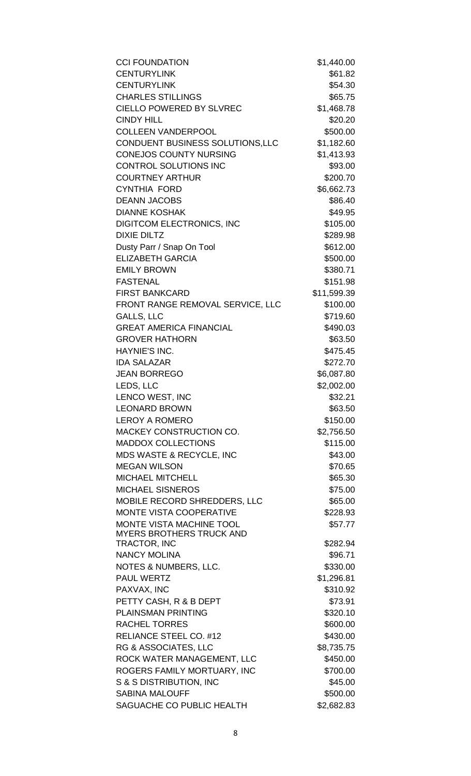| <b>CCI FOUNDATION</b>                            | \$1,440.00  |
|--------------------------------------------------|-------------|
| <b>CENTURYLINK</b>                               | \$61.82     |
| <b>CENTURYLINK</b>                               | \$54.30     |
| <b>CHARLES STILLINGS</b>                         | \$65.75     |
| <b>CIELLO POWERED BY SLVREC</b>                  | \$1,468.78  |
| <b>CINDY HILL</b>                                | \$20.20     |
| <b>COLLEEN VANDERPOOL</b>                        | \$500.00    |
| CONDUENT BUSINESS SOLUTIONS, LLC                 | \$1,182.60  |
| <b>CONEJOS COUNTY NURSING</b>                    | \$1,413.93  |
| <b>CONTROL SOLUTIONS INC</b>                     | \$93.00     |
| <b>COURTNEY ARTHUR</b>                           | \$200.70    |
| <b>CYNTHIA FORD</b>                              | \$6,662.73  |
| <b>DEANN JACOBS</b>                              | \$86.40     |
| <b>DIANNE KOSHAK</b>                             | \$49.95     |
| <b>DIGITCOM ELECTRONICS, INC</b>                 | \$105.00    |
| <b>DIXIE DILTZ</b>                               | \$289.98    |
| Dusty Parr / Snap On Tool                        | \$612.00    |
| <b>ELIZABETH GARCIA</b>                          | \$500.00    |
| <b>EMILY BROWN</b>                               | \$380.71    |
| <b>FASTENAL</b>                                  | \$151.98    |
| <b>FIRST BANKCARD</b>                            | \$11,599.39 |
| FRONT RANGE REMOVAL SERVICE, LLC                 | \$100.00    |
| <b>GALLS, LLC</b>                                | \$719.60    |
| <b>GREAT AMERICA FINANCIAL</b>                   | \$490.03    |
| <b>GROVER HATHORN</b>                            | \$63.50     |
| HAYNIE'S INC.                                    | \$475.45    |
| <b>IDA SALAZAR</b>                               | \$272.70    |
| <b>JEAN BORREGO</b>                              | \$6,087.80  |
| LEDS, LLC                                        | \$2,002.00  |
| LENCO WEST, INC                                  | \$32.21     |
| <b>LEONARD BROWN</b>                             | \$63.50     |
| <b>LEROY A ROMERO</b>                            | \$150.00    |
| MACKEY CONSTRUCTION CO.                          | \$2,756.50  |
| <b>MADDOX COLLECTIONS</b>                        | \$115.00    |
| MDS WASTE & RECYCLE, INC                         | \$43.00     |
| <b>MEGAN WILSON</b>                              | \$70.65     |
| <b>MICHAEL MITCHELL</b>                          | \$65.30     |
| <b>MICHAEL SISNEROS</b>                          | \$75.00     |
| <b>MOBILE RECORD SHREDDERS, LLC</b>              | \$65.00     |
| <b>MONTE VISTA COOPERATIVE</b>                   | \$228.93    |
| MONTE VISTA MACHINE TOOL                         | \$57.77     |
| <b>MYERS BROTHERS TRUCK AND</b>                  |             |
| TRACTOR, INC                                     | \$282.94    |
| <b>NANCY MOLINA</b>                              | \$96.71     |
| NOTES & NUMBERS, LLC.                            | \$330.00    |
| <b>PAUL WERTZ</b>                                | \$1,296.81  |
| PAXVAX, INC                                      | \$310.92    |
| PETTY CASH, R & B DEPT                           | \$73.91     |
| <b>PLAINSMAN PRINTING</b>                        | \$320.10    |
| <b>RACHEL TORRES</b>                             | \$600.00    |
| RELIANCE STEEL CO. #12                           | \$430.00    |
| RG & ASSOCIATES, LLC                             | \$8,735.75  |
| ROCK WATER MANAGEMENT, LLC                       | \$450.00    |
| ROGERS FAMILY MORTUARY, INC                      | \$700.00    |
| S & S DISTRIBUTION, INC<br><b>SABINA MALOUFF</b> | \$45.00     |
|                                                  | \$500.00    |
| SAGUACHE CO PUBLIC HEALTH                        | \$2,682.83  |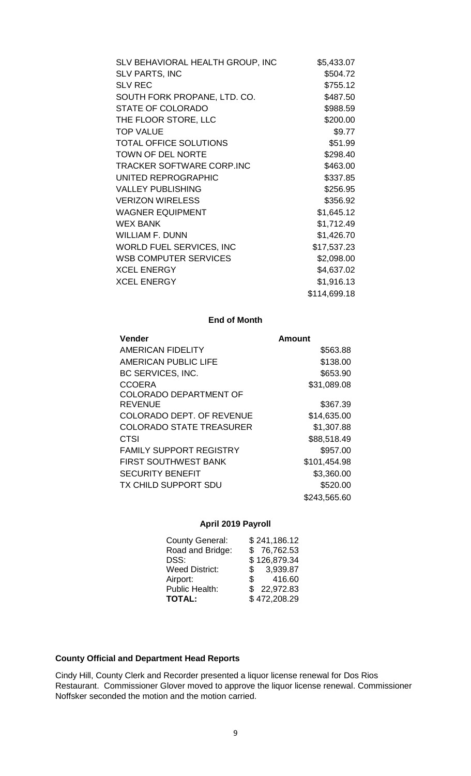| SLV BEHAVIORAL HEALTH GROUP, INC | \$5,433.07   |
|----------------------------------|--------------|
| <b>SLV PARTS, INC</b>            | \$504.72     |
| <b>SLV REC</b>                   | \$755.12     |
| SOUTH FORK PROPANE, LTD. CO.     | \$487.50     |
| <b>STATE OF COLORADO</b>         | \$988.59     |
| THE FLOOR STORE, LLC             | \$200.00     |
| <b>TOP VALUE</b>                 | \$9.77       |
| <b>TOTAL OFFICE SOLUTIONS</b>    | \$51.99      |
| <b>TOWN OF DEL NORTE</b>         | \$298.40     |
| <b>TRACKER SOFTWARE CORP.INC</b> | \$463.00     |
| UNITED REPROGRAPHIC              | \$337.85     |
| <b>VALLEY PUBLISHING</b>         | \$256.95     |
| <b>VERIZON WIRELESS</b>          | \$356.92     |
| <b>WAGNER EQUIPMENT</b>          | \$1,645.12   |
| <b>WEX BANK</b>                  | \$1,712.49   |
| WILLIAM F. DUNN                  | \$1,426.70   |
| WORLD FUEL SERVICES, INC         | \$17,537.23  |
| <b>WSB COMPUTER SERVICES</b>     | \$2,098.00   |
| <b>XCEL ENERGY</b>               | \$4,637.02   |
| <b>XCEL ENERGY</b>               | \$1,916.13   |
|                                  | \$114,699.18 |
|                                  |              |

# **End of Month**

| <b>Vender</b>                    | <b>Amount</b> |
|----------------------------------|---------------|
| <b>AMERICAN FIDELITY</b>         | \$563.88      |
| AMERICAN PUBLIC LIFE             | \$138.00      |
| BC SERVICES, INC.                | \$653.90      |
| <b>CCOERA</b>                    | \$31,089.08   |
| <b>COLORADO DEPARTMENT OF</b>    |               |
| <b>REVENUE</b>                   | \$367.39      |
| <b>COLORADO DEPT. OF REVENUE</b> | \$14,635.00   |
| <b>COLORADO STATE TREASURER</b>  | \$1,307.88    |
| <b>CTSI</b>                      | \$88,518.49   |
| <b>FAMILY SUPPORT REGISTRY</b>   | \$957.00      |
| <b>FIRST SOUTHWEST BANK</b>      | \$101,454.98  |
| <b>SECURITY BENEFIT</b>          | \$3,360.00    |
| <b>TX CHILD SUPPORT SDU</b>      | \$520.00      |
|                                  | \$243,565.60  |

# **April 2019 Payroll**

| <b>County General:</b> | \$241,186.12           |
|------------------------|------------------------|
| Road and Bridge:       | \$76,762.53            |
| DSS:                   | \$126,879.34           |
| <b>Weed District:</b>  | 3,939.87<br>\$         |
| Airport:               | 416.60<br>$\mathbb{S}$ |
| Public Health:         | \$22,972.83            |
| <b>TOTAL:</b>          | \$472,208.29           |
|                        |                        |

# **County Official and Department Head Reports**

Cindy Hill, County Clerk and Recorder presented a liquor license renewal for Dos Rios Restaurant. Commissioner Glover moved to approve the liquor license renewal. Commissioner Noffsker seconded the motion and the motion carried.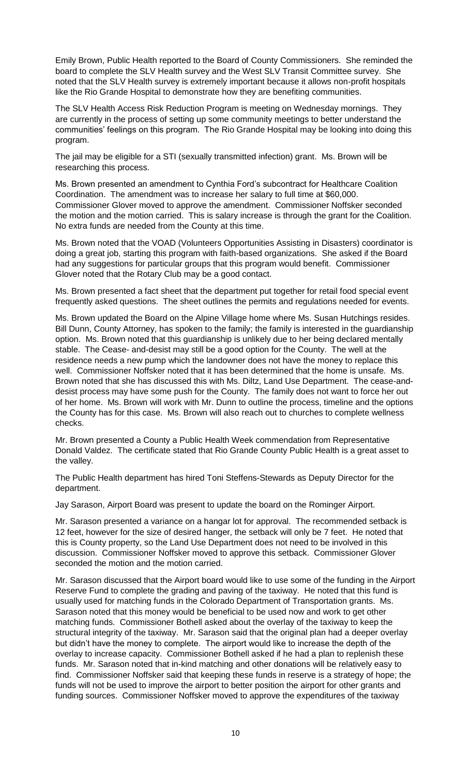Emily Brown, Public Health reported to the Board of County Commissioners. She reminded the board to complete the SLV Health survey and the West SLV Transit Committee survey. She noted that the SLV Health survey is extremely important because it allows non-profit hospitals like the Rio Grande Hospital to demonstrate how they are benefiting communities.

The SLV Health Access Risk Reduction Program is meeting on Wednesday mornings. They are currently in the process of setting up some community meetings to better understand the communities' feelings on this program. The Rio Grande Hospital may be looking into doing this program.

The jail may be eligible for a STI (sexually transmitted infection) grant. Ms. Brown will be researching this process.

Ms. Brown presented an amendment to Cynthia Ford's subcontract for Healthcare Coalition Coordination. The amendment was to increase her salary to full time at \$60,000. Commissioner Glover moved to approve the amendment. Commissioner Noffsker seconded the motion and the motion carried. This is salary increase is through the grant for the Coalition. No extra funds are needed from the County at this time.

Ms. Brown noted that the VOAD (Volunteers Opportunities Assisting in Disasters) coordinator is doing a great job, starting this program with faith-based organizations. She asked if the Board had any suggestions for particular groups that this program would benefit. Commissioner Glover noted that the Rotary Club may be a good contact.

Ms. Brown presented a fact sheet that the department put together for retail food special event frequently asked questions. The sheet outlines the permits and regulations needed for events.

Ms. Brown updated the Board on the Alpine Village home where Ms. Susan Hutchings resides. Bill Dunn, County Attorney, has spoken to the family; the family is interested in the guardianship option. Ms. Brown noted that this guardianship is unlikely due to her being declared mentally stable. The Cease- and-desist may still be a good option for the County. The well at the residence needs a new pump which the landowner does not have the money to replace this well. Commissioner Noffsker noted that it has been determined that the home is unsafe. Ms. Brown noted that she has discussed this with Ms. Diltz, Land Use Department. The cease-anddesist process may have some push for the County. The family does not want to force her out of her home. Ms. Brown will work with Mr. Dunn to outline the process, timeline and the options the County has for this case. Ms. Brown will also reach out to churches to complete wellness checks.

Mr. Brown presented a County a Public Health Week commendation from Representative Donald Valdez. The certificate stated that Rio Grande County Public Health is a great asset to the valley.

The Public Health department has hired Toni Steffens-Stewards as Deputy Director for the department.

Jay Sarason, Airport Board was present to update the board on the Rominger Airport.

Mr. Sarason presented a variance on a hangar lot for approval. The recommended setback is 12 feet, however for the size of desired hanger, the setback will only be 7 feet. He noted that this is County property, so the Land Use Department does not need to be involved in this discussion. Commissioner Noffsker moved to approve this setback. Commissioner Glover seconded the motion and the motion carried.

Mr. Sarason discussed that the Airport board would like to use some of the funding in the Airport Reserve Fund to complete the grading and paving of the taxiway. He noted that this fund is usually used for matching funds in the Colorado Department of Transportation grants. Ms. Sarason noted that this money would be beneficial to be used now and work to get other matching funds. Commissioner Bothell asked about the overlay of the taxiway to keep the structural integrity of the taxiway. Mr. Sarason said that the original plan had a deeper overlay but didn't have the money to complete. The airport would like to increase the depth of the overlay to increase capacity. Commissioner Bothell asked if he had a plan to replenish these funds. Mr. Sarason noted that in-kind matching and other donations will be relatively easy to find. Commissioner Noffsker said that keeping these funds in reserve is a strategy of hope; the funds will not be used to improve the airport to better position the airport for other grants and funding sources. Commissioner Noffsker moved to approve the expenditures of the taxiway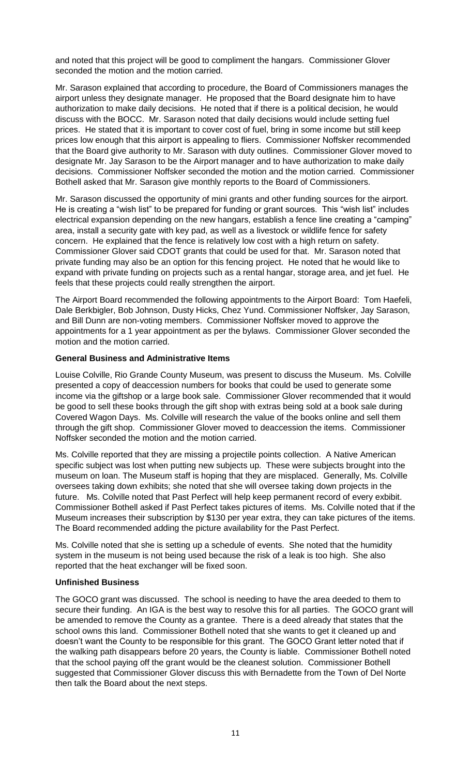and noted that this project will be good to compliment the hangars. Commissioner Glover seconded the motion and the motion carried.

Mr. Sarason explained that according to procedure, the Board of Commissioners manages the airport unless they designate manager. He proposed that the Board designate him to have authorization to make daily decisions. He noted that if there is a political decision, he would discuss with the BOCC. Mr. Sarason noted that daily decisions would include setting fuel prices. He stated that it is important to cover cost of fuel, bring in some income but still keep prices low enough that this airport is appealing to fliers. Commissioner Noffsker recommended that the Board give authority to Mr. Sarason with duty outlines. Commissioner Glover moved to designate Mr. Jay Sarason to be the Airport manager and to have authorization to make daily decisions. Commissioner Noffsker seconded the motion and the motion carried. Commissioner Bothell asked that Mr. Sarason give monthly reports to the Board of Commissioners.

Mr. Sarason discussed the opportunity of mini grants and other funding sources for the airport. He is creating a "wish list" to be prepared for funding or grant sources. This "wish list" includes electrical expansion depending on the new hangars, establish a fence line creating a "camping" area, install a security gate with key pad, as well as a livestock or wildlife fence for safety concern. He explained that the fence is relatively low cost with a high return on safety. Commissioner Glover said CDOT grants that could be used for that. Mr. Sarason noted that private funding may also be an option for this fencing project. He noted that he would like to expand with private funding on projects such as a rental hangar, storage area, and jet fuel. He feels that these projects could really strengthen the airport.

The Airport Board recommended the following appointments to the Airport Board: Tom Haefeli, Dale Berkbigler, Bob Johnson, Dusty Hicks, Chez Yund. Commissioner Noffsker, Jay Sarason, and Bill Dunn are non-voting members. Commissioner Noffsker moved to approve the appointments for a 1 year appointment as per the bylaws. Commissioner Glover seconded the motion and the motion carried.

## **General Business and Administrative Items**

Louise Colville, Rio Grande County Museum, was present to discuss the Museum. Ms. Colville presented a copy of deaccession numbers for books that could be used to generate some income via the giftshop or a large book sale. Commissioner Glover recommended that it would be good to sell these books through the gift shop with extras being sold at a book sale during Covered Wagon Days. Ms. Colville will research the value of the books online and sell them through the gift shop. Commissioner Glover moved to deaccession the items. Commissioner Noffsker seconded the motion and the motion carried.

Ms. Colville reported that they are missing a projectile points collection. A Native American specific subject was lost when putting new subjects up. These were subjects brought into the museum on loan. The Museum staff is hoping that they are misplaced. Generally, Ms. Colville oversees taking down exhibits; she noted that she will oversee taking down projects in the future. Ms. Colville noted that Past Perfect will help keep permanent record of every exbibit. Commissioner Bothell asked if Past Perfect takes pictures of items. Ms. Colville noted that if the Museum increases their subscription by \$130 per year extra, they can take pictures of the items. The Board recommended adding the picture availability for the Past Perfect.

Ms. Colville noted that she is setting up a schedule of events. She noted that the humidity system in the museum is not being used because the risk of a leak is too high. She also reported that the heat exchanger will be fixed soon.

### **Unfinished Business**

The GOCO grant was discussed. The school is needing to have the area deeded to them to secure their funding. An IGA is the best way to resolve this for all parties. The GOCO grant will be amended to remove the County as a grantee. There is a deed already that states that the school owns this land. Commissioner Bothell noted that she wants to get it cleaned up and doesn't want the County to be responsible for this grant. The GOCO Grant letter noted that if the walking path disappears before 20 years, the County is liable. Commissioner Bothell noted that the school paying off the grant would be the cleanest solution. Commissioner Bothell suggested that Commissioner Glover discuss this with Bernadette from the Town of Del Norte then talk the Board about the next steps.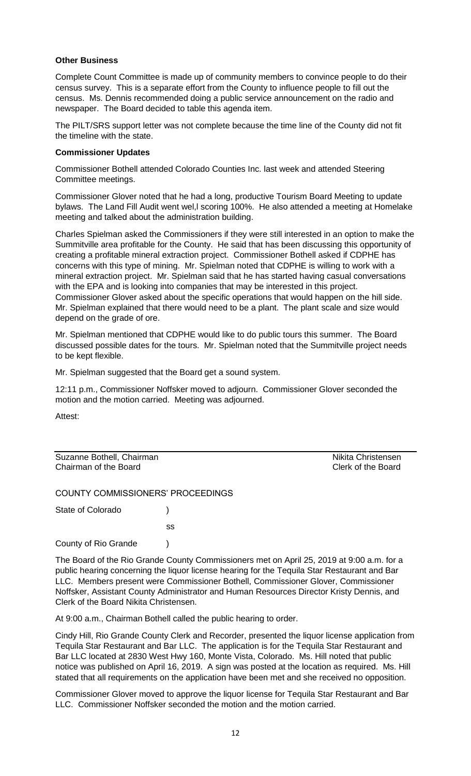### **Other Business**

Complete Count Committee is made up of community members to convince people to do their census survey. This is a separate effort from the County to influence people to fill out the census. Ms. Dennis recommended doing a public service announcement on the radio and newspaper. The Board decided to table this agenda item.

The PILT/SRS support letter was not complete because the time line of the County did not fit the timeline with the state.

### **Commissioner Updates**

Commissioner Bothell attended Colorado Counties Inc. last week and attended Steering Committee meetings.

Commissioner Glover noted that he had a long, productive Tourism Board Meeting to update bylaws. The Land Fill Audit went wel,l scoring 100%. He also attended a meeting at Homelake meeting and talked about the administration building.

Charles Spielman asked the Commissioners if they were still interested in an option to make the Summitville area profitable for the County. He said that has been discussing this opportunity of creating a profitable mineral extraction project. Commissioner Bothell asked if CDPHE has concerns with this type of mining. Mr. Spielman noted that CDPHE is willing to work with a mineral extraction project. Mr. Spielman said that he has started having casual conversations with the EPA and is looking into companies that may be interested in this project. Commissioner Glover asked about the specific operations that would happen on the hill side. Mr. Spielman explained that there would need to be a plant. The plant scale and size would depend on the grade of ore.

Mr. Spielman mentioned that CDPHE would like to do public tours this summer. The Board discussed possible dates for the tours. Mr. Spielman noted that the Summitville project needs to be kept flexible.

Mr. Spielman suggested that the Board get a sound system.

12:11 p.m., Commissioner Noffsker moved to adjourn. Commissioner Glover seconded the motion and the motion carried. Meeting was adjourned.

Attest:

Suzanne Bothell, Chairman Nikita Christensen<br>
Chairman of the Board<br>
Clerk of the Board Chairman of the Board

COUNTY COMMISSIONERS' PROCEEDINGS

State of Colorado (a)

County of Rio Grande )

The Board of the Rio Grande County Commissioners met on April 25, 2019 at 9:00 a.m. for a public hearing concerning the liquor license hearing for the Tequila Star Restaurant and Bar LLC. Members present were Commissioner Bothell, Commissioner Glover, Commissioner Noffsker, Assistant County Administrator and Human Resources Director Kristy Dennis, and Clerk of the Board Nikita Christensen.

At 9:00 a.m., Chairman Bothell called the public hearing to order.

ss

Cindy Hill, Rio Grande County Clerk and Recorder, presented the liquor license application from Tequila Star Restaurant and Bar LLC. The application is for the Tequila Star Restaurant and Bar LLC located at 2830 West Hwy 160, Monte Vista, Colorado. Ms. Hill noted that public notice was published on April 16, 2019. A sign was posted at the location as required. Ms. Hill stated that all requirements on the application have been met and she received no opposition.

Commissioner Glover moved to approve the liquor license for Tequila Star Restaurant and Bar LLC. Commissioner Noffsker seconded the motion and the motion carried.